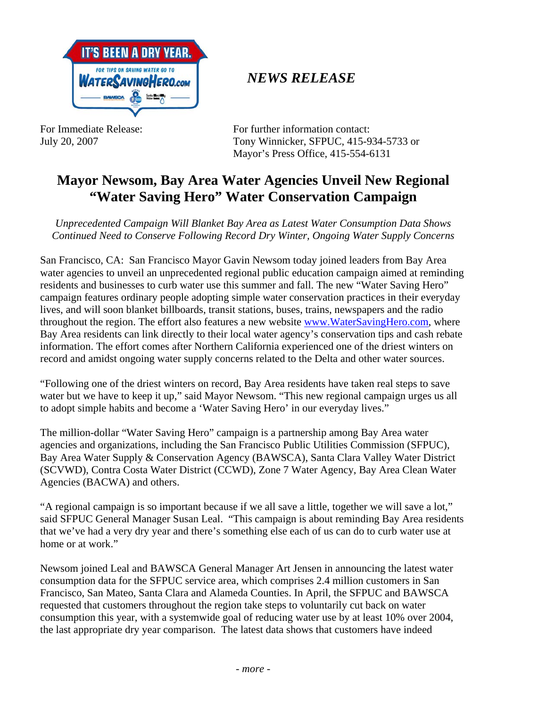

## *NEWS RELEASE*

For Immediate Release: For further information contact: July 20, 2007 Tony Winnicker, SFPUC, 415-934-5733 or Mayor's Press Office, 415-554-6131

## **Mayor Newsom, Bay Area Water Agencies Unveil New Regional "Water Saving Hero" Water Conservation Campaign**

*Unprecedented Campaign Will Blanket Bay Area as Latest Water Consumption Data Shows Continued Need to Conserve Following Record Dry Winter, Ongoing Water Supply Concerns* 

San Francisco, CA: San Francisco Mayor Gavin Newsom today joined leaders from Bay Area water agencies to unveil an unprecedented regional public education campaign aimed at reminding residents and businesses to curb water use this summer and fall. The new "Water Saving Hero" campaign features ordinary people adopting simple water conservation practices in their everyday lives, and will soon blanket billboards, transit stations, buses, trains, newspapers and the radio throughout the region. The effort also features a new website www.WaterSavingHero.com, where Bay Area residents can link directly to their local water agency's conservation tips and cash rebate information. The effort comes after Northern California experienced one of the driest winters on record and amidst ongoing water supply concerns related to the Delta and other water sources.

"Following one of the driest winters on record, Bay Area residents have taken real steps to save water but we have to keep it up," said Mayor Newsom. "This new regional campaign urges us all to adopt simple habits and become a 'Water Saving Hero' in our everyday lives."

The million-dollar "Water Saving Hero" campaign is a partnership among Bay Area water agencies and organizations, including the San Francisco Public Utilities Commission (SFPUC), Bay Area Water Supply & Conservation Agency (BAWSCA), Santa Clara Valley Water District (SCVWD), Contra Costa Water District (CCWD), Zone 7 Water Agency, Bay Area Clean Water Agencies (BACWA) and others.

"A regional campaign is so important because if we all save a little, together we will save a lot," said SFPUC General Manager Susan Leal. "This campaign is about reminding Bay Area residents that we've had a very dry year and there's something else each of us can do to curb water use at home or at work."

Newsom joined Leal and BAWSCA General Manager Art Jensen in announcing the latest water consumption data for the SFPUC service area, which comprises 2.4 million customers in San Francisco, San Mateo, Santa Clara and Alameda Counties. In April, the SFPUC and BAWSCA requested that customers throughout the region take steps to voluntarily cut back on water consumption this year, with a systemwide goal of reducing water use by at least 10% over 2004, the last appropriate dry year comparison. The latest data shows that customers have indeed